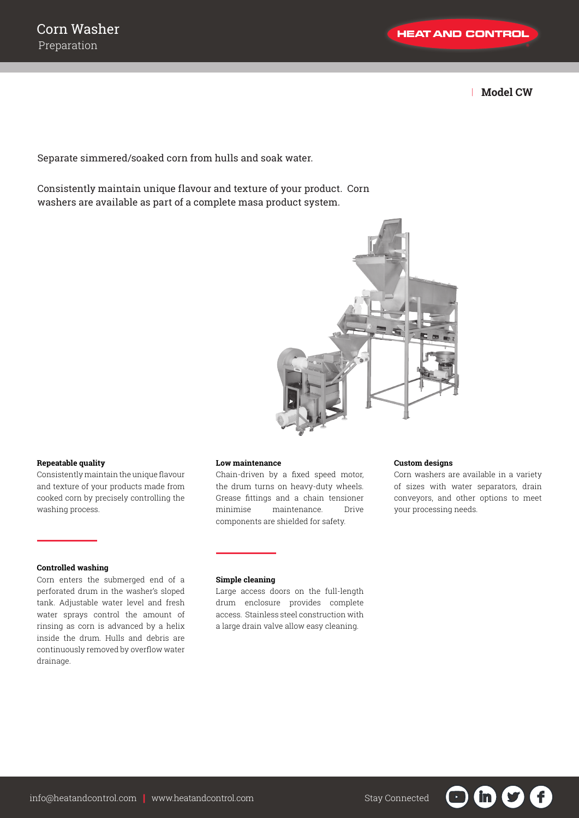| **Model CW**

Separate simmered/soaked corn from hulls and soak water.

Consistently maintain unique flavour and texture of your product. Corn washers are available as part of a complete masa product system.



### **Repeatable quality**

Consistently maintain the unique flavour and texture of your products made from cooked corn by precisely controlling the washing process.

# **Controlled washing**

Corn enters the submerged end of a perforated drum in the washer's sloped tank. Adjustable water level and fresh water sprays control the amount of rinsing as corn is advanced by a helix inside the drum. Hulls and debris are continuously removed by overflow water drainage.

### **Low maintenance**

Chain-driven by a fixed speed motor, the drum turns on heavy-duty wheels. Grease fittings and a chain tensioner minimise maintenance. Drive components are shielded for safety.

# **Custom designs**

Corn washers are available in a variety of sizes with water separators, drain conveyors, and other options to meet your processing needs.

 $\mathbf{f}$ 

in)

#### **Simple cleaning**

Large access doors on the full-length drum enclosure provides complete access. Stainless steel construction with a large drain valve allow easy cleaning.